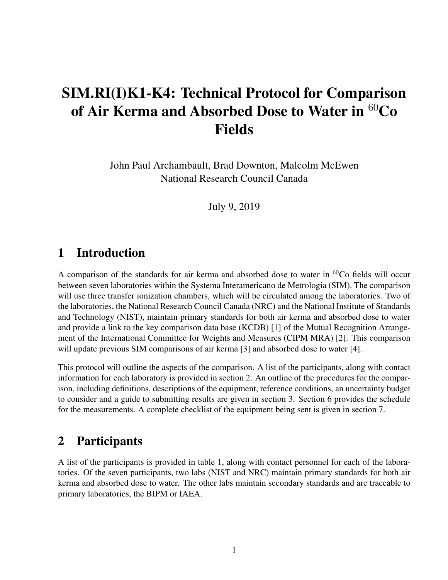# SIM.RI(I)K1-K4: Technical Protocol for Comparison of Air Kerma and Absorbed Dose to Water in  ${}^{60}Co$ Fields

John Paul Archambault, Brad Downton, Malcolm McEwen National Research Council Canada

July 9, 2019

### 1 Introduction

A comparison of the standards for air kerma and absorbed dose to water in  ${}^{60}Co$  fields will occur between seven laboratories within the Systema Interamericano de Metrologia (SIM). The comparison will use three transfer ionization chambers, which will be circulated among the laboratories. Two of the laboratories, the National Research Council Canada (NRC) and the National Institute of Standards and Technology (NIST), maintain primary standards for both air kerma and absorbed dose to water and provide a link to the key comparison data base (KCDB) [1] of the Mutual Recognition Arrangement of the International Committee for Weights and Measures (CIPM MRA) [2]. This comparison will update previous SIM comparisons of air kerma [3] and absorbed dose to water [4].

This protocol will outline the aspects of the comparison. A list of the participants, along with contact information for each laboratory is provided in section 2. An outline of the procedures for the comparison, including definitions, descriptions of the equipment, reference conditions, an uncertainty budget to consider and a guide to submitting results are given in section 3. Section 6 provides the schedule for the measurements. A complete checklist of the equipment being sent is given in section 7.

#### 2 Participants

A list of the participants is provided in table 1, along with contact personnel for each of the laboratories. Of the seven participants, two labs (NIST and NRC) maintain primary standards for both air kerma and absorbed dose to water. The other labs maintain secondary standards and are traceable to primary laboratories, the BIPM or IAEA.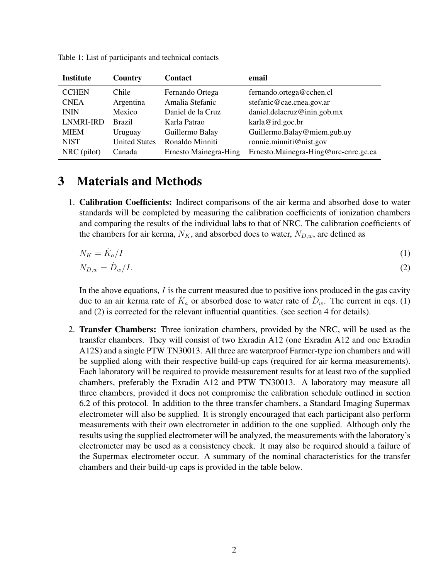| <b>Institute</b> | Country              | <b>Contact</b>        | email                                |
|------------------|----------------------|-----------------------|--------------------------------------|
| <b>CCHEN</b>     | Chile                | Fernando Ortega       | fernando.ortega@cchen.cl             |
| <b>CNEA</b>      | Argentina            | Amalia Stefanic       | stefanic@cae.cnea.gov.ar             |
| <b>ININ</b>      | Mexico               | Daniel de la Cruz     | daniel.delacruz@inin.gob.mx          |
| <b>LNMRI-IRD</b> | <b>Brazil</b>        | Karla Patrao          | karla@ird.goc.br                     |
| <b>MIEM</b>      | Uruguay              | Guillermo Balay       | Guillermo.Balay@miem.gub.uy          |
| <b>NIST</b>      | <b>United States</b> | Ronaldo Minniti       | ronnie.minniti@nist.gov              |
| NRC (pilot)      | Canada               | Ernesto Mainegra-Hing | Ernesto.Mainegra-Hing@nrc-cnrc.gc.ca |

Table 1: List of participants and technical contacts

#### 3 Materials and Methods

1. Calibration Coefficients: Indirect comparisons of the air kerma and absorbed dose to water standards will be completed by measuring the calibration coefficients of ionization chambers and comparing the results of the individual labs to that of NRC. The calibration coefficients of the chambers for air kerma,  $N_K$ , and absorbed does to water,  $N_{D,w}$ , are defined as

$$
N_K = \dot{K}_a / I \tag{1}
$$

$$
N_{D,w} = \dot{D}_w / I. \tag{2}
$$

In the above equations,  $I$  is the current measured due to positive ions produced in the gas cavity due to an air kerma rate of  $K_a$  or absorbed dose to water rate of  $D_w$ . The current in eqs. (1) and (2) is corrected for the relevant influential quantities. (see section 4 for details).

2. Transfer Chambers: Three ionization chambers, provided by the NRC, will be used as the transfer chambers. They will consist of two Exradin A12 (one Exradin A12 and one Exradin A12S) and a single PTW TN30013. All three are waterproof Farmer-type ion chambers and will be supplied along with their respective build-up caps (required for air kerma measurements). Each laboratory will be required to provide measurement results for at least two of the supplied chambers, preferably the Exradin A12 and PTW TN30013. A laboratory may measure all three chambers, provided it does not compromise the calibration schedule outlined in section 6.2 of this protocol. In addition to the three transfer chambers, a Standard Imaging Supermax electrometer will also be supplied. It is strongly encouraged that each participant also perform measurements with their own electrometer in addition to the one supplied. Although only the results using the supplied electrometer will be analyzed, the measurements with the laboratory's electrometer may be used as a consistency check. It may also be required should a failure of the Supermax electrometer occur. A summary of the nominal characteristics for the transfer chambers and their build-up caps is provided in the table below.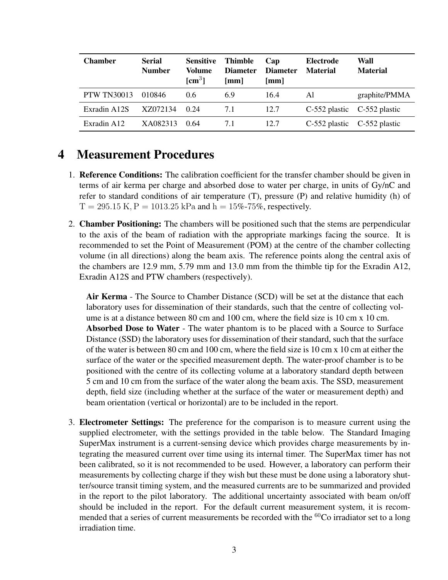| <b>Chamber</b>     | <b>Serial</b><br><b>Number</b> | <b>Sensitive</b><br>Volume<br>$\mathbf{[cm^3]}$ | <b>Thimble</b><br><b>Diameter</b><br>[mm] | Cap<br><b>Diameter</b><br>$\lceil$ mm $\rceil$ | Electrode<br><b>Material</b>    | Wall<br><b>Material</b> |
|--------------------|--------------------------------|-------------------------------------------------|-------------------------------------------|------------------------------------------------|---------------------------------|-------------------------|
| <b>PTW TN30013</b> | 010846                         | 0.6                                             | 6.9                                       | 16.4                                           | Al                              | graphite/PMMA           |
| Exradin A12S       | XZ072134                       | 0.24                                            | 7.1                                       | 12.7                                           | $C-552$ plastic $C-552$ plastic |                         |
| Exradin A12        | XA082313                       | 0.64                                            | 7.1                                       | 12.7                                           | $C-552$ plastic $C-552$ plastic |                         |

### 4 Measurement Procedures

- 1. Reference Conditions: The calibration coefficient for the transfer chamber should be given in terms of air kerma per charge and absorbed dose to water per charge, in units of Gy/nC and refer to standard conditions of air temperature (T), pressure (P) and relative humidity (h) of  $T = 295.15$  K,  $P = 1013.25$  kPa and  $h = 15\%$ -75%, respectively.
- 2. **Chamber Positioning:** The chambers will be positioned such that the stems are perpendicular to the axis of the beam of radiation with the appropriate markings facing the source. It is recommended to set the Point of Measurement (POM) at the centre of the chamber collecting volume (in all directions) along the beam axis. The reference points along the central axis of the chambers are 12.9 mm, 5.79 mm and 13.0 mm from the thimble tip for the Exradin A12, Exradin A12S and PTW chambers (respectively).

Air Kerma - The Source to Chamber Distance (SCD) will be set at the distance that each laboratory uses for dissemination of their standards, such that the centre of collecting volume is at a distance between 80 cm and 100 cm, where the field size is 10 cm x 10 cm. Absorbed Dose to Water - The water phantom is to be placed with a Source to Surface Distance (SSD) the laboratory uses for dissemination of their standard, such that the surface of the water is between 80 cm and 100 cm, where the field size is 10 cm x 10 cm at either the surface of the water or the specified measurement depth. The water-proof chamber is to be positioned with the centre of its collecting volume at a laboratory standard depth between 5 cm and 10 cm from the surface of the water along the beam axis. The SSD, measurement depth, field size (including whether at the surface of the water or measurement depth) and beam orientation (vertical or horizontal) are to be included in the report.

3. Electrometer Settings: The preference for the comparison is to measure current using the supplied electrometer, with the settings provided in the table below. The Standard Imaging SuperMax instrument is a current-sensing device which provides charge measurements by integrating the measured current over time using its internal timer. The SuperMax timer has not been calibrated, so it is not recommended to be used. However, a laboratory can perform their measurements by collecting charge if they wish but these must be done using a laboratory shutter/source transit timing system, and the measured currents are to be summarized and provided in the report to the pilot laboratory. The additional uncertainty associated with beam on/off should be included in the report. For the default current measurement system, it is recommended that a series of current measurements be recorded with the  ${}^{60}Co$  irradiator set to a long irradiation time.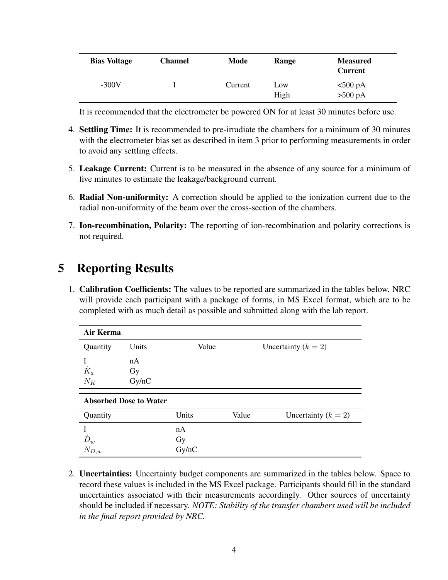| <b>Bias Voltage</b> | <b>Channel</b> | Mode    | Range       | <b>Measured</b><br><b>Current</b>      |
|---------------------|----------------|---------|-------------|----------------------------------------|
| $-300V$             |                | Current | Low<br>High | $<500 \text{ pA}$<br>$>500 \text{ pA}$ |

It is recommended that the electrometer be powered ON for at least 30 minutes before use.

- 4. **Settling Time:** It is recommended to pre-irradiate the chambers for a minimum of 30 minutes with the electrometer bias set as described in item 3 prior to performing measurements in order to avoid any settling effects.
- 5. Leakage Current: Current is to be measured in the absence of any source for a minimum of five minutes to estimate the leakage/background current.
- 6. Radial Non-uniformity: A correction should be applied to the ionization current due to the radial non-uniformity of the beam over the cross-section of the chambers.
- 7. Ion-recombination, Polarity: The reporting of ion-recombination and polarity corrections is not required.

## 5 Reporting Results

1. Calibration Coefficients: The values to be reported are summarized in the tables below. NRC will provide each participant with a package of forms, in MS Excel format, which are to be completed with as much detail as possible and submitted along with the lab report.

| Air Kerma                     |                   |       |       |                       |  |
|-------------------------------|-------------------|-------|-------|-----------------------|--|
| Quantity                      | Units             | Value |       | Uncertainty $(k = 2)$ |  |
| $\dot{K}_a$<br>$N_K$          | nA<br>Gy<br>Gy/nC |       |       |                       |  |
| <b>Absorbed Dose to Water</b> |                   |       |       |                       |  |
| Quantity                      |                   | Units | Value | Uncertainty $(k = 2)$ |  |
|                               |                   | nA    |       |                       |  |
| $\dot{D}_w$<br>$N_{D,w}$      |                   | Gy    |       |                       |  |
|                               |                   | Gy/nC |       |                       |  |

2. Uncertainties: Uncertainty budget components are summarized in the tables below. Space to record these values is included in the MS Excel package. Participants should fill in the standard uncertainties associated with their measurements accordingly. Other sources of uncertainty should be included if necessary. *NOTE: Stability of the transfer chambers used will be included in the final report provided by NRC.*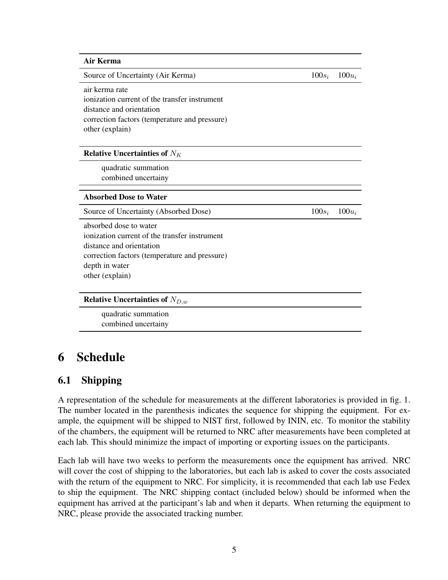| <b>Air Kerma</b>                              |          |          |
|-----------------------------------------------|----------|----------|
| Source of Uncertainty (Air Kerma)             | $100s_i$ | $100u_i$ |
| air kerma rate                                |          |          |
| ionization current of the transfer instrument |          |          |
| distance and orientation                      |          |          |
| correction factors (temperature and pressure) |          |          |
| other (explain)                               |          |          |
| <b>Relative Uncertainties of </b> $N_K$       |          |          |
| quadratic summation                           |          |          |
| combined uncertainy                           |          |          |
| <b>Absorbed Dose to Water</b>                 |          |          |
| Source of Uncertainty (Absorbed Dose)         | $100s_i$ | $100u_i$ |
| absorbed dose to water                        |          |          |
| ionization current of the transfer instrument |          |          |
| distance and orientation                      |          |          |
| correction factors (temperature and pressure) |          |          |
| depth in water                                |          |          |
| other (explain)                               |          |          |
| <b>Relative Uncertainties of</b> $N_{D,w}$    |          |          |
| quadratic summation                           |          |          |
| combined uncertainy                           |          |          |

### 6 Schedule

#### 6.1 Shipping

A representation of the schedule for measurements at the different laboratories is provided in fig. 1. The number located in the parenthesis indicates the sequence for shipping the equipment. For example, the equipment will be shipped to NIST first, followed by ININ, etc. To monitor the stability of the chambers, the equipment will be returned to NRC after measurements have been completed at each lab. This should minimize the impact of importing or exporting issues on the participants.

Each lab will have two weeks to perform the measurements once the equipment has arrived. NRC will cover the cost of shipping to the laboratories, but each lab is asked to cover the costs associated with the return of the equipment to NRC. For simplicity, it is recommended that each lab use Fedex to ship the equipment. The NRC shipping contact (included below) should be informed when the equipment has arrived at the participant's lab and when it departs. When returning the equipment to NRC, please provide the associated tracking number.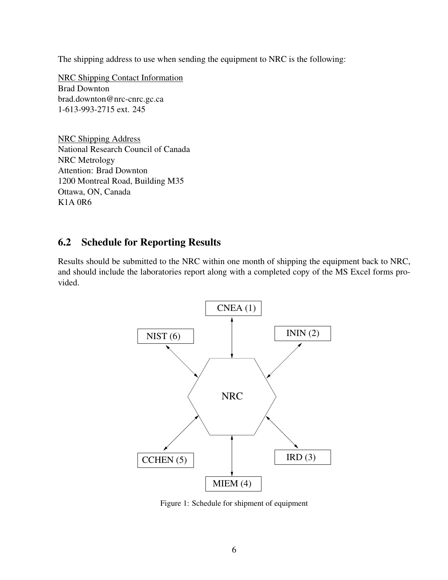The shipping address to use when sending the equipment to NRC is the following:

NRC Shipping Contact Information Brad Downton brad.downton@nrc-cnrc.gc.ca 1-613-993-2715 ext. 245

NRC Shipping Address National Research Council of Canada NRC Metrology Attention: Brad Downton 1200 Montreal Road, Building M35 Ottawa, ON, Canada K1A 0R6

#### 6.2 Schedule for Reporting Results

Results should be submitted to the NRC within one month of shipping the equipment back to NRC, and should include the laboratories report along with a completed copy of the MS Excel forms provided.



Figure 1: Schedule for shipment of equipment